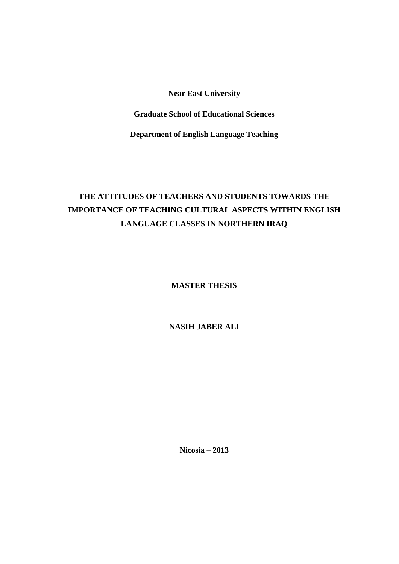**Near East University**

**Graduate School of Educational Sciences**

**Department of English Language Teaching**

# **THE ATTITUDES OF TEACHERS AND STUDENTS TOWARDS THE IMPORTANCE OF TEACHING CULTURAL ASPECTS WITHIN ENGLISH LANGUAGE CLASSES IN NORTHERN IRAQ**

**MASTER THESIS**

**NASIH JABER ALI**

**Nicosia – 2013**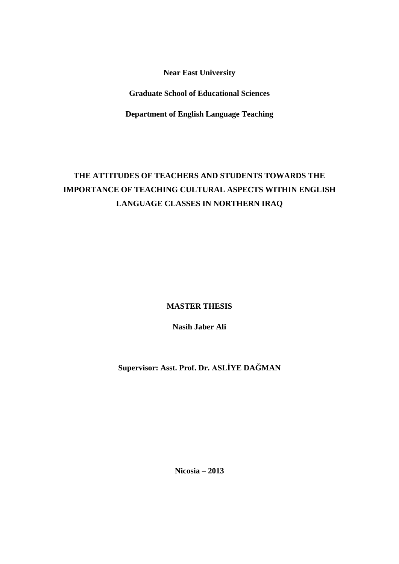**Near East University**

**Graduate School of Educational Sciences**

**Department of English Language Teaching**

# **THE ATTITUDES OF TEACHERS AND STUDENTS TOWARDS THE IMPORTANCE OF TEACHING CULTURAL ASPECTS WITHIN ENGLISH LANGUAGE CLASSES IN NORTHERN IRAQ**

**MASTER THESIS**

**Nasih Jaber Ali**

**Supervisor: Asst. Prof. Dr. ASLĠYE DAĞMAN**

**Nicosia – 2013**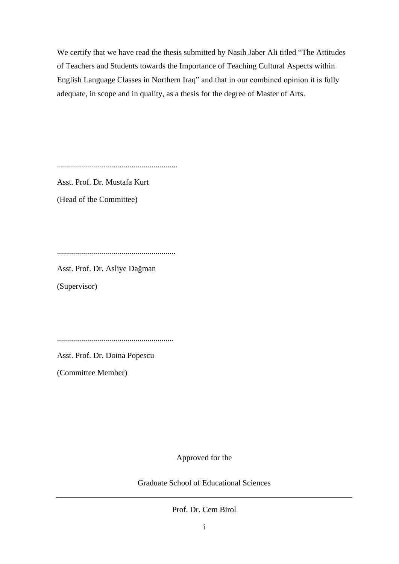We certify that we have read the thesis submitted by Nasih Jaber Ali titled "The Attitudes of Teachers and Students towards the Importance of Teaching Cultural Aspects within English Language Classes in Northern Iraq" and that in our combined opinion it is fully adequate, in scope and in quality, as a thesis for the degree of Master of Arts.

............................................................

Asst. Prof. Dr. Mustafa Kurt

(Head of the Committee)

...........................................................

Asst. Prof. Dr. Asliye Dağman

(Supervisor)

..........................................................

Asst. Prof. Dr. Doina Popescu

(Committee Member)

Approved for the

Graduate School of Educational Sciences

Prof. Dr. Cem Birol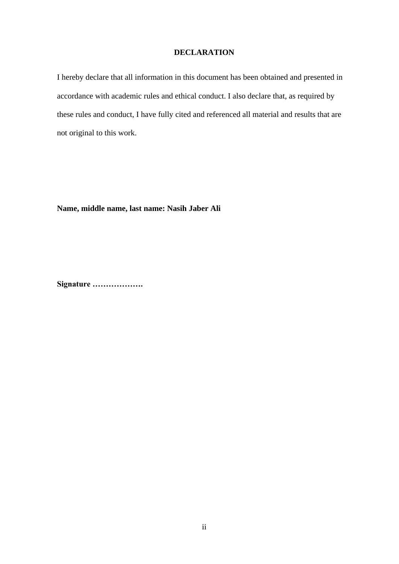### **DECLARATION**

I hereby declare that all information in this document has been obtained and presented in accordance with academic rules and ethical conduct. I also declare that, as required by these rules and conduct, I have fully cited and referenced all material and results that are not original to this work.

**Name, middle name, last name: Nasih Jaber Ali**

**Signature ……………….**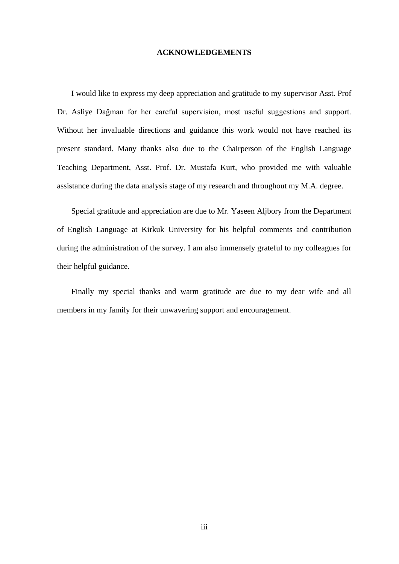#### **ACKNOWLEDGEMENTS**

I would like to express my deep appreciation and gratitude to my supervisor Asst. Prof Dr. Asliye Dağman for her careful supervision, most useful suggestions and support. Without her invaluable directions and guidance this work would not have reached its present standard. Many thanks also due to the Chairperson of the English Language Teaching Department, Asst. Prof. Dr. Mustafa Kurt, who provided me with valuable assistance during the data analysis stage of my research and throughout my M.A. degree.

Special gratitude and appreciation are due to Mr. Yaseen Aljbory from the Department of English Language at Kirkuk University for his helpful comments and contribution during the administration of the survey. I am also immensely grateful to my colleagues for their helpful guidance.

Finally my special thanks and warm gratitude are due to my dear wife and all members in my family for their unwavering support and encouragement.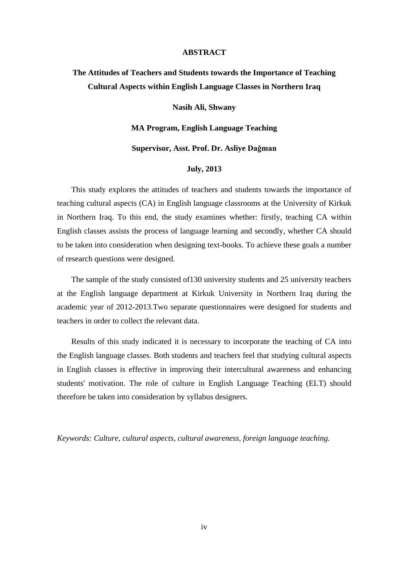#### **ABSTRACT**

## **The Attitudes of Teachers and Students towards the Importance of Teaching Cultural Aspects within English Language Classes in Northern Iraq**

#### **Nasih Ali, Shwany**

**MA Program, English Language Teaching**

#### **Supervisor, Asst. Prof. Dr. Asliye Dağman**

#### **July, 2013**

This study explores the attitudes of teachers and students towards the importance of teaching cultural aspects (CA) in English language classrooms at the University of Kirkuk in Northern Iraq. To this end, the study examines whether: firstly, teaching CA within English classes assists the process of language learning and secondly, whether CA should to be taken into consideration when designing text-books. To achieve these goals a number of research questions were designed.

The sample of the study consisted of130 university students and 25 university teachers at the English language department at Kirkuk University in Northern Iraq during the academic year of 2012-2013.Two separate questionnaires were designed for students and teachers in order to collect the relevant data.

Results of this study indicated it is necessary to incorporate the teaching of CA into the English language classes. Both students and teachers feel that studying cultural aspects in English classes is effective in improving their intercultural awareness and enhancing students' motivation. The role of culture in English Language Teaching (ELT) should therefore be taken into consideration by syllabus designers.

*Keywords: Culture, cultural aspects, cultural awareness, foreign language teaching.*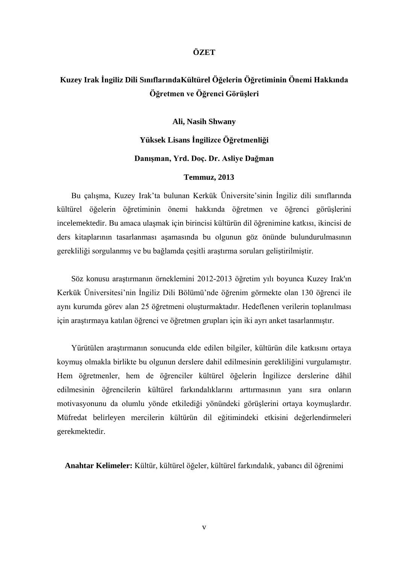### **ÖZET**

## **Kuzey Irak Ġngiliz Dili SınıflarındaKültürel Öğelerin Öğretiminin Önemi Hakkında Öğretmen ve Öğrenci Görüşleri**

**Ali, Nasih Shwany**

**Yüksek Lisans Ġngilizce Öğretmenliği Danışman, Yrd. Doç. Dr. Asliye Dağman**

### **Temmuz, 2013**

Bu çalışma, Kuzey Irak'ta bulunan Kerkük Üniversite'sinin İngiliz dili sınıflarında kültürel öğelerin öğretiminin önemi hakkında öğretmen ve öğrenci görüşlerini incelemektedir. Bu amaca ulaşmak için birincisi kültürün dil öğrenimine katkısı, ikincisi de ders kitaplarının tasarlanması aşamasında bu olgunun göz önünde bulundurulmasının gerekliliği sorgulanmış ve bu bağlamda çeşitli araştırma soruları geliştirilmiştir.

Söz konusu araştırmanın örneklemini 2012-2013 öğretim yılı boyunca Kuzey Irak'ın Kerkük Üniversitesi'nin İngiliz Dili Bölümü'nde öğrenim görmekte olan 130 öğrenci ile aynı kurumda görev alan 25 öğretmeni oluşturmaktadır. Hedeflenen verilerin toplanılması için araştırmaya katılan öğrenci ve öğretmen grupları için iki ayrı anket tasarlanmıştır.

Yürütülen araştırmanın sonucunda elde edilen bilgiler, kültürün dile katkısını ortaya koymuş olmakla birlikte bu olgunun derslere dahil edilmesinin gerekliliğini vurgulamıştır. Hem öğretmenler, hem de öğrenciler kültürel öğelerin İngilizce derslerine dâhil edilmesinin öğrencilerin kültürel farkındalıklarını arttırmasının yanı sıra onların motivasyonunu da olumlu yönde etkilediği yönündeki görüşlerini ortaya koymuşlardır. Müfredat belirleyen mercilerin kültürün dil eğitimindeki etkisini değerlendirmeleri gerekmektedir.

**Anahtar Kelimeler:** Kültür, kültürel öğeler, kültürel farkındalık, yabancı dil öğrenimi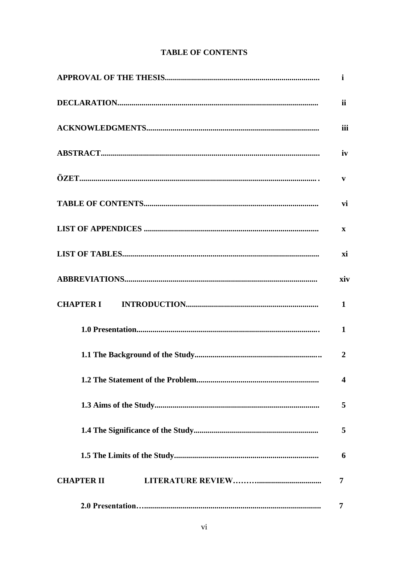## **TABLE OF CONTENTS**

|                   | <i>ii</i>               |
|-------------------|-------------------------|
|                   | iii                     |
|                   | iv                      |
|                   | $\mathbf{v}$            |
|                   | vi                      |
|                   | $\mathbf{x}$            |
|                   | xi                      |
|                   | xiv                     |
|                   | 1                       |
|                   | $\mathbf{1}$            |
|                   | $\overline{2}$          |
|                   | $\overline{\mathbf{4}}$ |
|                   | 5                       |
|                   | 5                       |
|                   | 6                       |
| <b>CHAPTER II</b> | 7                       |
|                   | 7                       |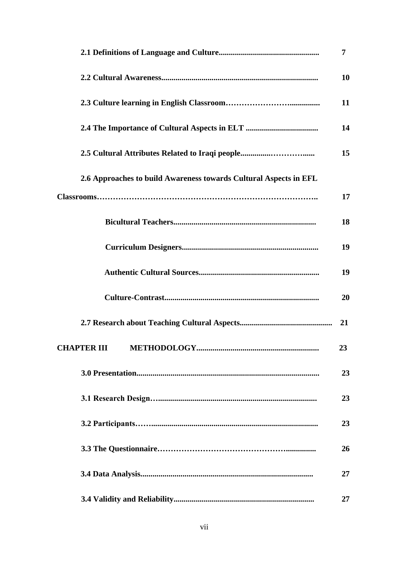|                                                                   | $\overline{7}$ |
|-------------------------------------------------------------------|----------------|
|                                                                   | 10             |
|                                                                   | 11             |
|                                                                   | 14             |
|                                                                   | 15             |
| 2.6 Approaches to build Awareness towards Cultural Aspects in EFL |                |
|                                                                   | 17             |
|                                                                   | 18             |
|                                                                   | 19             |
|                                                                   | 19             |
|                                                                   | 20             |
|                                                                   | 21             |
|                                                                   | 23             |
|                                                                   | 23             |
|                                                                   | 23             |
|                                                                   | 23             |
|                                                                   | 26             |
|                                                                   | 27             |
|                                                                   | 27             |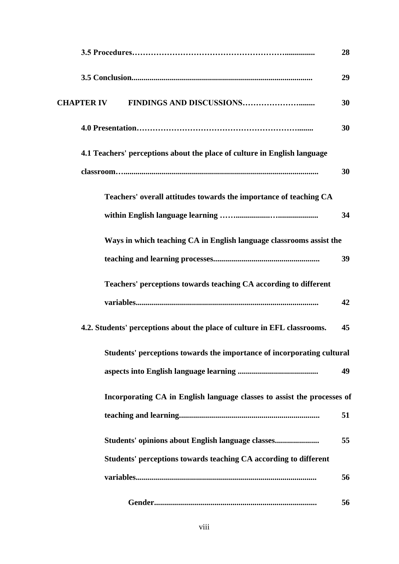|                                                                          | 28 |
|--------------------------------------------------------------------------|----|
|                                                                          | 29 |
| <b>CHAPTER IV</b>                                                        | 30 |
|                                                                          | 30 |
| 4.1 Teachers' perceptions about the place of culture in English language |    |
|                                                                          | 30 |
| Teachers' overall attitudes towards the importance of teaching CA        |    |
|                                                                          | 34 |
| Ways in which teaching CA in English language classrooms assist the      |    |
|                                                                          | 39 |
| Teachers' perceptions towards teaching CA according to different         |    |
|                                                                          | 42 |
| 4.2. Students' perceptions about the place of culture in EFL classrooms. | 45 |
| Students' perceptions towards the importance of incorporating cultural   |    |
|                                                                          | 49 |
| Incorporating CA in English language classes to assist the processes of  |    |
|                                                                          | 51 |
| Students' opinions about English language classes                        | 55 |
| Students' perceptions towards teaching CA according to different         |    |
|                                                                          | 56 |
|                                                                          | 56 |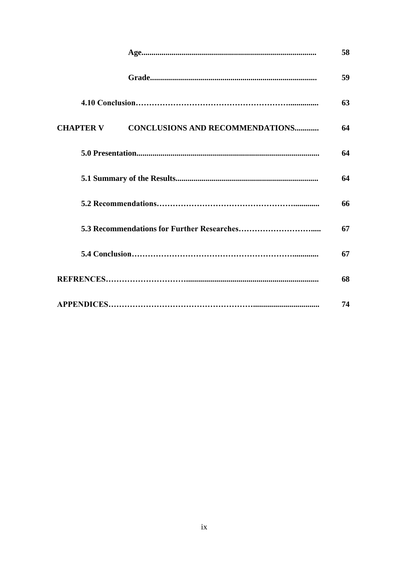|                                                            | 58 |
|------------------------------------------------------------|----|
|                                                            | 59 |
|                                                            | 63 |
| <b>CONCLUSIONS AND RECOMMENDATIONS</b><br><b>CHAPTER V</b> | 64 |
|                                                            | 64 |
|                                                            | 64 |
|                                                            | 66 |
|                                                            | 67 |
|                                                            | 67 |
|                                                            | 68 |
|                                                            | 74 |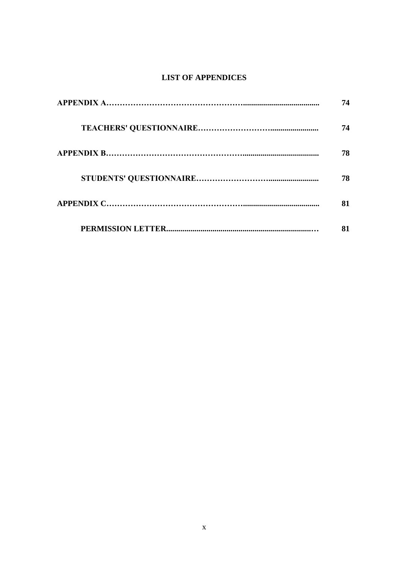## **LIST OF APPENDICES**

| 74 |
|----|
| 74 |
| 78 |
| 78 |
| 81 |
| 81 |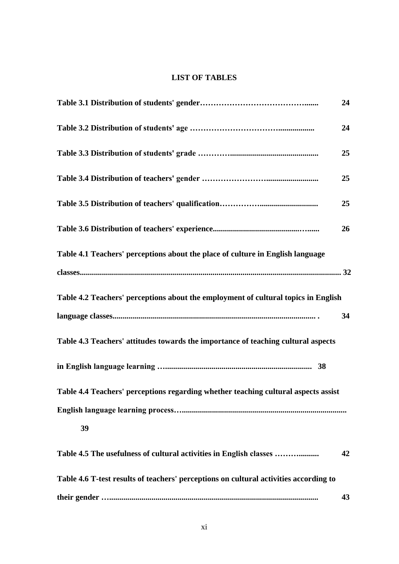## **LIST OF TABLES**

|                                                                                       | 24 |
|---------------------------------------------------------------------------------------|----|
|                                                                                       | 24 |
|                                                                                       | 25 |
|                                                                                       | 25 |
|                                                                                       | 25 |
|                                                                                       | 26 |
| Table 4.1 Teachers' perceptions about the place of culture in English language        |    |
|                                                                                       |    |
| Table 4.2 Teachers' perceptions about the employment of cultural topics in English    |    |
|                                                                                       | 34 |
| Table 4.3 Teachers' attitudes towards the importance of teaching cultural aspects     |    |
|                                                                                       |    |
| Table 4.4 Teachers' perceptions regarding whether teaching cultural aspects assist    |    |
|                                                                                       |    |
| 39                                                                                    |    |
| Table 4.5 The usefulness of cultural activities in English classes                    | 42 |
| Table 4.6 T-test results of teachers' perceptions on cultural activities according to |    |
|                                                                                       | 43 |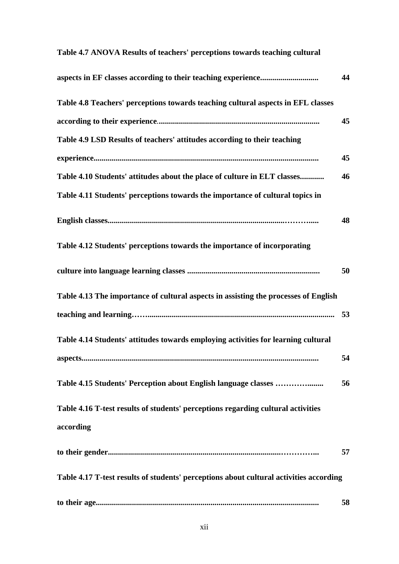| Table 4.7 ANOVA Results of teachers' perceptions towards teaching cultural             |    |
|----------------------------------------------------------------------------------------|----|
|                                                                                        | 44 |
| Table 4.8 Teachers' perceptions towards teaching cultural aspects in EFL classes       |    |
|                                                                                        | 45 |
| Table 4.9 LSD Results of teachers' attitudes according to their teaching               |    |
|                                                                                        | 45 |
| Table 4.10 Students' attitudes about the place of culture in ELT classes               | 46 |
| Table 4.11 Students' perceptions towards the importance of cultural topics in          |    |
|                                                                                        | 48 |
| Table 4.12 Students' perceptions towards the importance of incorporating               |    |
|                                                                                        | 50 |
| Table 4.13 The importance of cultural aspects in assisting the processes of English    |    |
|                                                                                        |    |
| Table 4.14 Students' attitudes towards employing activities for learning cultural      |    |
|                                                                                        | 54 |
| Table 4.15 Students' Perception about English language classes                         | 56 |
| Table 4.16 T-test results of students' perceptions regarding cultural activities       |    |
| according                                                                              |    |
|                                                                                        | 57 |
| Table 4.17 T-test results of students' perceptions about cultural activities according |    |
|                                                                                        | 58 |

### **Table 4.7 ANOVA Results of teachers' perceptions towards teaching cultural**